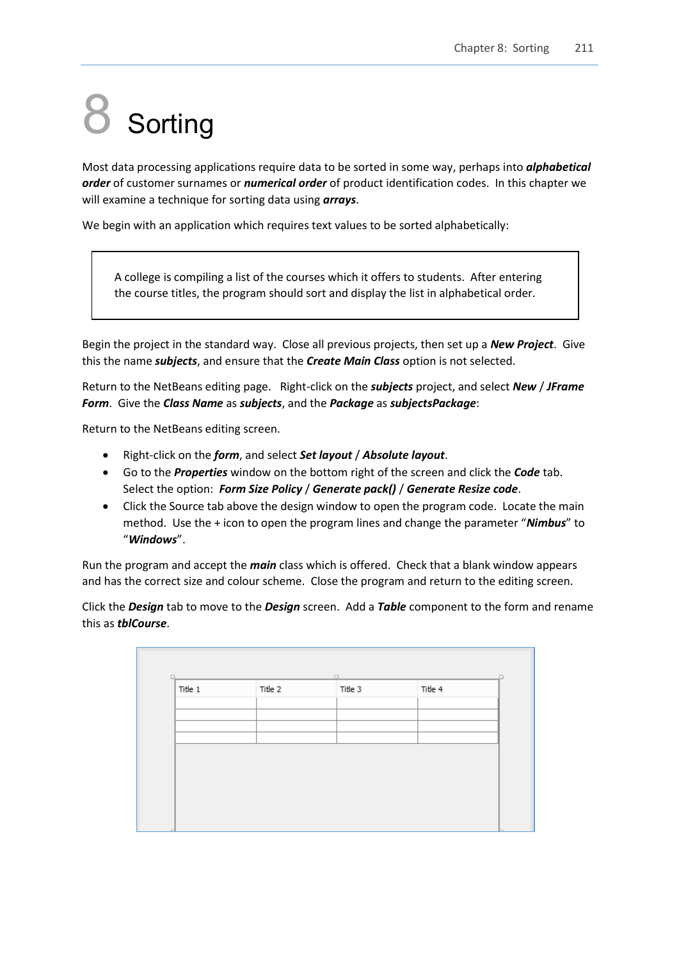# **Sorting**

Most data processing applications require data to be sorted in some way, perhaps into *alphabetical order* of customer surnames or *numerical order* of product identification codes. In this chapter we will examine a technique for sorting data using *arrays*.

We begin with an application which requires text values to be sorted alphabetically:

A college is compiling a list of the courses which it offers to students. After entering the course titles, the program should sort and display the list in alphabetical order.

Begin the project in the standard way. Close all previous projects, then set up a *New Project*. Give this the name *subjects*, and ensure that the *Create Main Class* option is not selected.

Return to the NetBeans editing page. Right-click on the *subjects* project, and select *New* / *JFrame Form*. Give the *Class Name* as *subjects*, and the *Package* as *subjectsPackage*:

Return to the NetBeans editing screen.

- Right-click on the *form*, and select *Set layout* / *Absolute layout*.
- Go to the *Properties* window on the bottom right of the screen and click the *Code* tab. Select the option: *Form Size Policy* / *Generate pack()* / *Generate Resize code*.
- Click the Source tab above the design window to open the program code. Locate the main method. Use the + icon to open the program lines and change the parameter "*Nimbus*" to "*Windows*".

Run the program and accept the *main* class which is offered. Check that a blank window appears and has the correct size and colour scheme. Close the program and return to the editing screen.

Click the *Design* tab to move to the *Design* screen. Add a *Table* component to the form and rename this as *tblCourse*.

| Title 1 | Title 2 | Title 3 | Title 4 |  |
|---------|---------|---------|---------|--|
|         |         |         |         |  |
|         |         |         |         |  |
|         |         |         |         |  |
|         |         |         |         |  |
|         |         |         |         |  |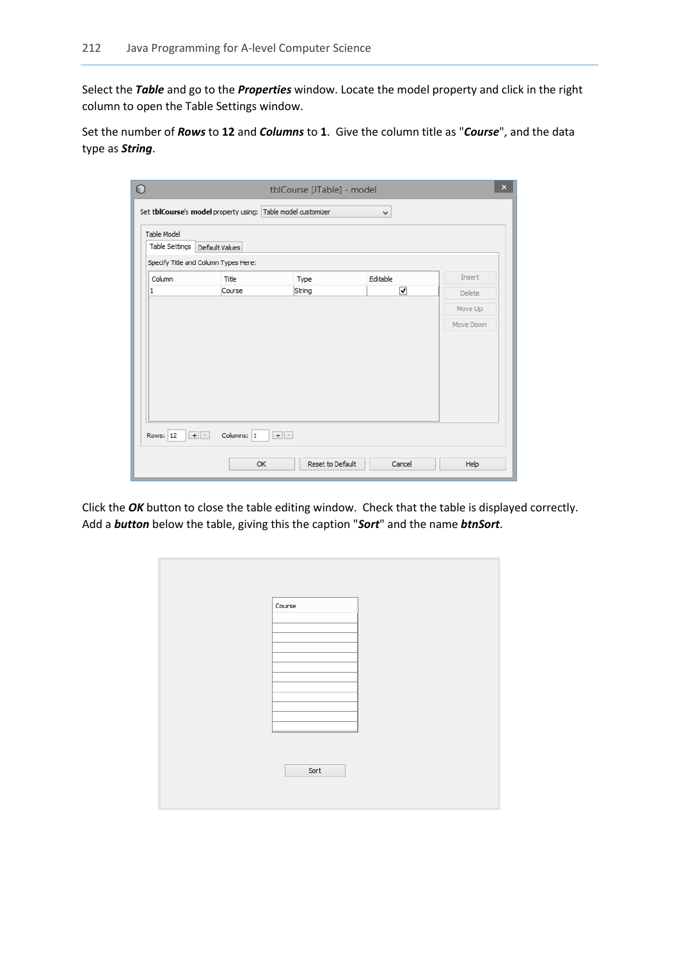Select the *Table* and go to the *Properties* window. Locate the model property and click in the right column to open the Table Settings window.

Set the number of *Rows* to **12** and *Columns* to **1**. Give the column title as "*Course*", and the data type as *String*.

| $\circ$             |                                                              | tblCourse [JTable] - model |          | $\mathsf{x}$ |
|---------------------|--------------------------------------------------------------|----------------------------|----------|--------------|
|                     | Set tblCourse's model property using: Table model customizer |                            | v        |              |
| Table Model         |                                                              |                            |          |              |
| Table Settings      | Default Values                                               |                            |          |              |
|                     | Specify Title and Column Types Here:                         |                            |          |              |
| Column              | Title                                                        | Type                       | Editable | Insert       |
| 1                   | Course                                                       | String                     | ⊽        | Delete       |
|                     |                                                              |                            |          | Move Up      |
|                     |                                                              |                            |          | Move Down    |
|                     |                                                              |                            |          |              |
|                     |                                                              |                            |          |              |
|                     |                                                              |                            |          |              |
|                     |                                                              |                            |          |              |
|                     |                                                              |                            |          |              |
|                     |                                                              |                            |          |              |
|                     |                                                              |                            |          |              |
| $+$ $-$<br>Rows: 12 | Columns: 1                                                   | $+$ $-$                    |          |              |
|                     | OK                                                           | Reset to Default           | Cancel   | Help         |

Click the *OK* button to close the table editing window. Check that the table is displayed correctly. Add a *button* below the table, giving this the caption "*Sort*" and the name *btnSort*.

| Course |  |
|--------|--|
|        |  |
|        |  |
|        |  |
|        |  |
|        |  |
|        |  |
| Sort   |  |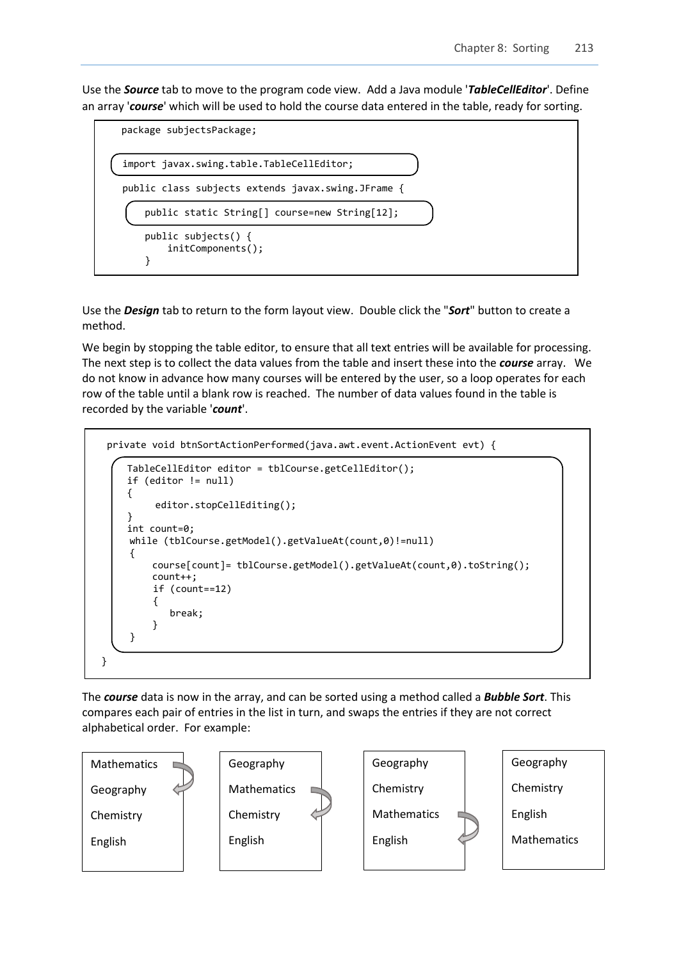Use the *Source* tab to move to the program code view. Add a Java module '*TableCellEditor*'. Define an array '*course*' which will be used to hold the course data entered in the table, ready for sorting.



Use the *Design* tab to return to the form layout view. Double click the "*Sort*" button to create a method.

We begin by stopping the table editor, to ensure that all text entries will be available for processing. The next step is to collect the data values from the table and insert these into the *course* array. We do not know in advance how many courses will be entered by the user, so a loop operates for each row of the table until a blank row is reached. The number of data values found in the table is recorded by the variable '*count*'.

```
 private void btnSortActionPerformed(java.awt.event.ActionEvent evt) { 
          TableCellEditor editor = tblCourse.getCellEditor();
          if (editor != null) 
          {
               editor.stopCellEditing();
  } 
          int count=0; 
          while (tblCourse.getModel().getValueAt(count,0)!=null)
  \vert {
              course[count]= tblCourse.getModel().getValueAt(count,0).toString(); 
              count++;
              if (count==12) 
 {
                  break; 
              } 
          }
     }
```
The *course* data is now in the array, and can be sorted using a method called a *Bubble Sort*. This compares each pair of entries in the list in turn, and swaps the entries if they are not correct alphabetical order. For example:

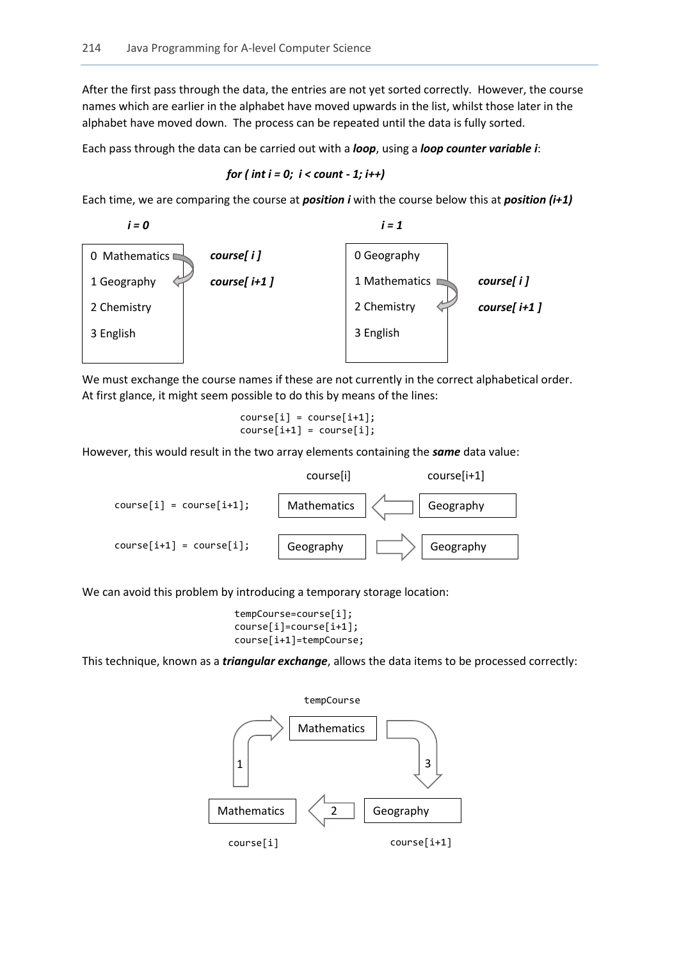After the first pass through the data, the entries are not yet sorted correctly. However, the course names which are earlier in the alphabet have moved upwards in the list, whilst those later in the alphabet have moved down. The process can be repeated until the data is fully sorted.

Each pass through the data can be carried out with a *loop*, using a *loop counter variable i*:

for ( 
$$
int i = 0
$$
;  $i < count - 1$ ;  $i++)$ 

Each time, we are comparing the course at *position i* with the course below this at *position (i+1)*



We must exchange the course names if these are not currently in the correct alphabetical order. At first glance, it might seem possible to do this by means of the lines:

 course[i] = course[i+1]; course[i+1] = course[i];

However, this would result in the two array elements containing the *same* data value:



We can avoid this problem by introducing a temporary storage location:

```
 tempCourse=course[i];
 course[i]=course[i+1];
 course[i+1]=tempCourse;
```
This technique, known as a *triangular exchange*, allows the data items to be processed correctly:

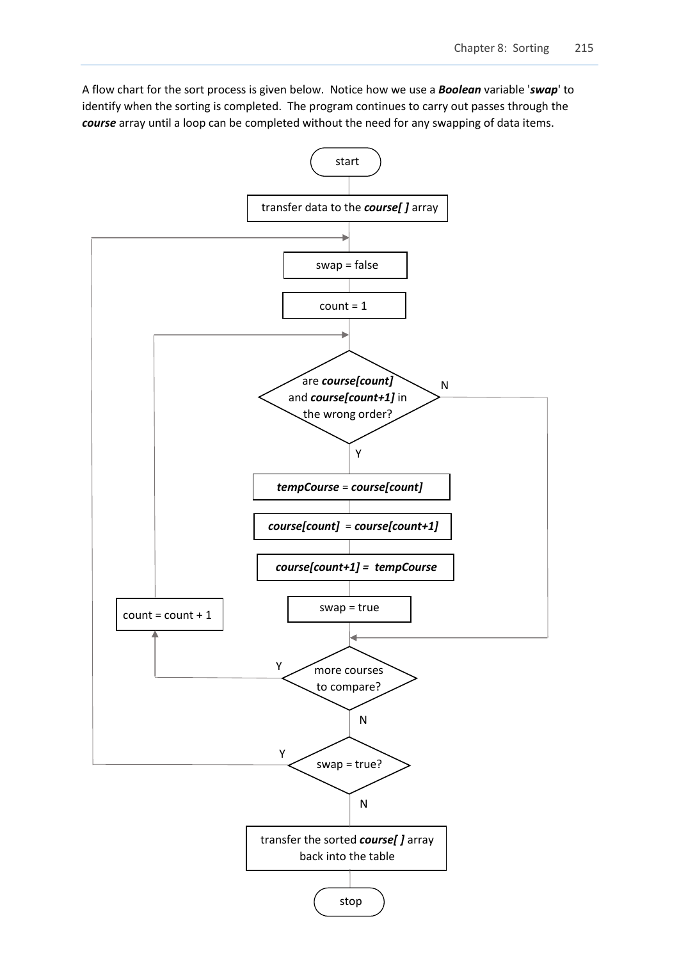A flow chart for the sort process is given below. Notice how we use a *Boolean* variable '*swap*' to identify when the sorting is completed. The program continues to carry out passes through the *course* array until a loop can be completed without the need for any swapping of data items.

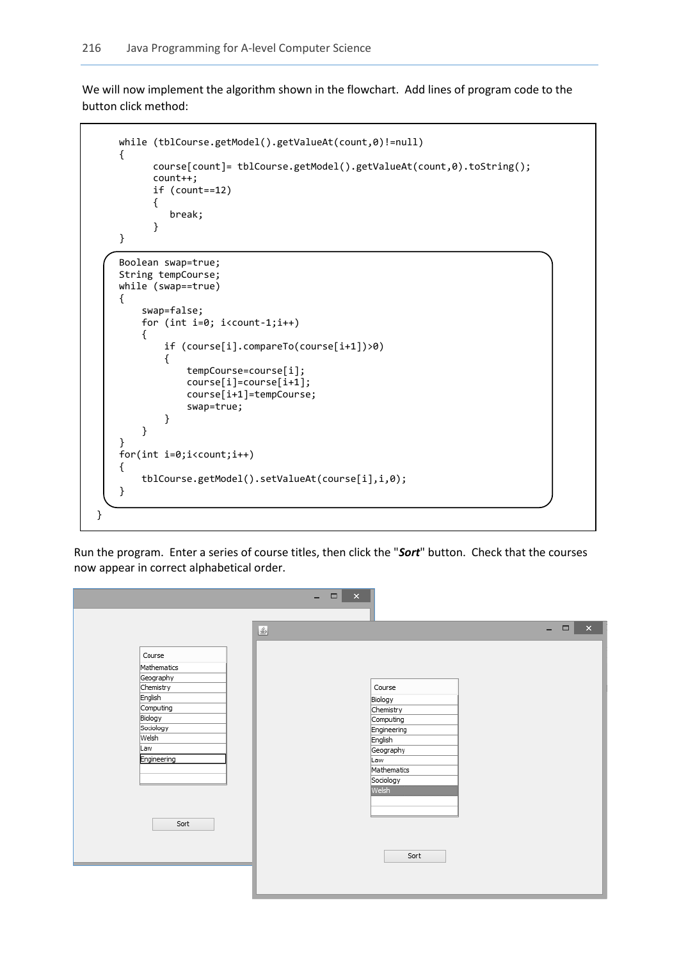We will now implement the algorithm shown in the flowchart. Add lines of program code to the button click method:

```
 while (tblCourse.getModel().getValueAt(count,0)!=null)
          {
                 course[count]= tblCourse.getModel().getValueAt(count,0).toString(); 
                 count++;
                 if (count==12) 
\begin{array}{ccc} \end{array} break; 
\begin{array}{ccc} \end{array} }
          Boolean swap=true;
          String tempCourse;
          while (swap==true)
          {
               swap=false;
               for (int i=0; i<count-1;i++)
 { 
                   if (course[i].compareTo(course[i+1])>0)
 {
                        tempCourse=course[i];
                       course[i]=course[i+1];
                       course[i+1]=tempCourse; 
                        swap=true;
\begin{array}{ccc} \begin{array}{ccc} \end{array} & \begin{array}{ccc} \end{array} & \end{array} }
          }
          for(int i=0;i<count;i++)
          { 
               tblCourse.getModel().setValueAt(course[i],i,0);
          }
     }
```
Run the program. Enter a series of course titles, then click the "*Sort*" button. Check that the courses now appear in correct alphabetical order.

|                                                                                                                                        | $   -$                                                                                                                                                                 |
|----------------------------------------------------------------------------------------------------------------------------------------|------------------------------------------------------------------------------------------------------------------------------------------------------------------------|
| Course<br>Mathematics<br>Geography<br>Chemistry<br>English<br>Computing<br>Biology<br>Sociology<br>Welsh<br>Law<br>Engineering<br>Sort | $\propto$<br>$ \Box$<br>$\triangleq$<br>Course<br>Biology<br>Chemistry<br>Computing<br>Engineering<br>English<br>Geography<br>Law<br>Mathematics<br>Sociology<br>Welsh |
|                                                                                                                                        | Sort                                                                                                                                                                   |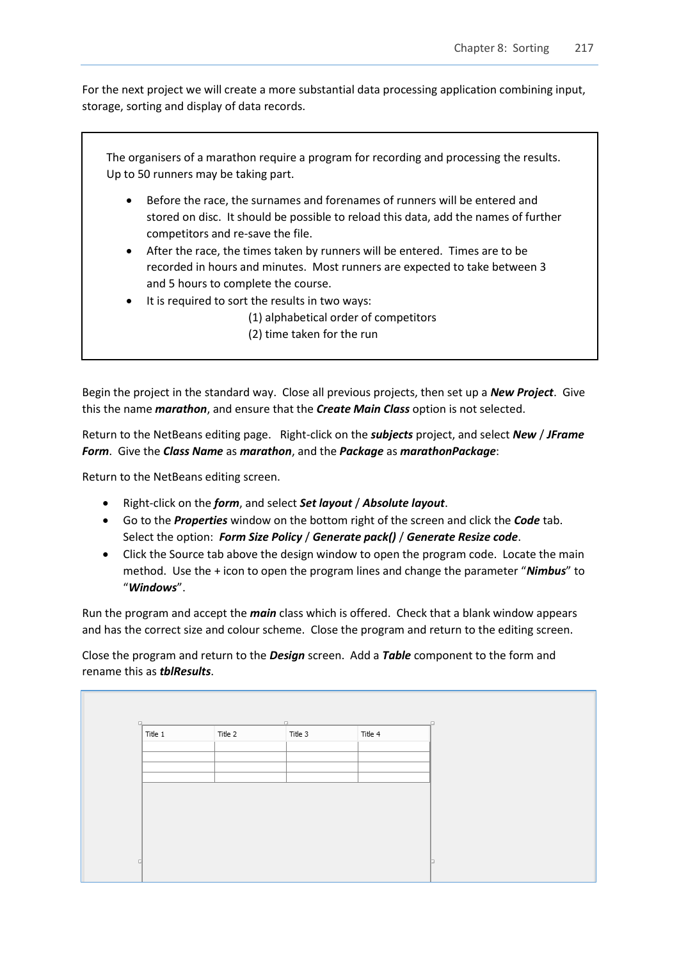For the next project we will create a more substantial data processing application combining input, storage, sorting and display of data records.

|           | The organisers of a marathon require a program for recording and processing the results.<br>Up to 50 runners may be taking part.                                                                       |
|-----------|--------------------------------------------------------------------------------------------------------------------------------------------------------------------------------------------------------|
| $\bullet$ | Before the race, the surnames and forenames of runners will be entered and<br>stored on disc. It should be possible to reload this data, add the names of further<br>competitors and re-save the file. |
| $\bullet$ | After the race, the times taken by runners will be entered. Times are to be<br>recorded in hours and minutes. Most runners are expected to take between 3<br>and 5 hours to complete the course.       |
| $\bullet$ | It is required to sort the results in two ways:<br>(1) alphabetical order of competitors<br>(2) time taken for the run                                                                                 |

Begin the project in the standard way. Close all previous projects, then set up a *New Project*. Give this the name *marathon*, and ensure that the *Create Main Class* option is not selected.

Return to the NetBeans editing page. Right-click on the *subjects* project, and select *New* / *JFrame Form*. Give the *Class Name* as *marathon*, and the *Package* as *marathonPackage*:

Return to the NetBeans editing screen.

- Right-click on the *form*, and select *Set layout* / *Absolute layout*.
- Go to the *Properties* window on the bottom right of the screen and click the *Code* tab. Select the option: *Form Size Policy* / *Generate pack()* / *Generate Resize code*.
- Click the Source tab above the design window to open the program code. Locate the main method. Use the + icon to open the program lines and change the parameter "*Nimbus*" to "*Windows*".

Run the program and accept the *main* class which is offered. Check that a blank window appears and has the correct size and colour scheme. Close the program and return to the editing screen.

Close the program and return to the *Design* screen. Add a *Table* component to the form and rename this as *tblResults*.

| Title 1<br>Title 2 | Title 3 | Title 4 |  |
|--------------------|---------|---------|--|
|                    |         |         |  |
|                    |         |         |  |
|                    |         |         |  |
|                    |         |         |  |
|                    |         |         |  |
|                    |         |         |  |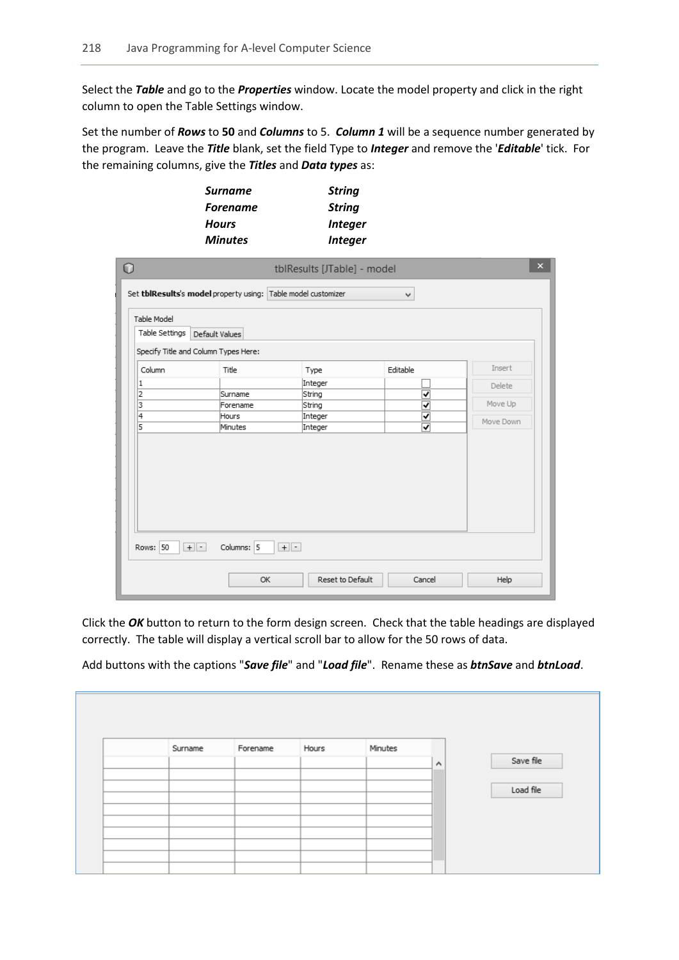Select the *Table* and go to the *Properties* window. Locate the model property and click in the right column to open the Table Settings window.

Set the number of *Rows* to **50** and *Columns* to 5. *Column 1* will be a sequence number generated by the program. Leave the *Title* blank, set the field Type to *Integer* and remove the '*Editable*' tick. For the remaining columns, give the *Titles* and *Data types* as:

| <b>Surname</b>  | <b>String</b>         |
|-----------------|-----------------------|
| <b>Forename</b> | <b>String</b>         |
| <b>Hours</b>    | <i><b>Integer</b></i> |
| <b>Minutes</b>  | <b>Integer</b>        |

| Table Model<br>Table Settings | Set tblResults's model property using: Table model customizer<br>Default Values |         | v        |           |
|-------------------------------|---------------------------------------------------------------------------------|---------|----------|-----------|
|                               | Specify Title and Column Types Here:                                            |         |          |           |
| Column                        | Title                                                                           | Type    | Editable | Insert    |
| 1                             |                                                                                 | Integer |          | Delete    |
| 2                             | Surname                                                                         | String  | ᢦ        |           |
| 3                             | Forename                                                                        | String  | ᢦ        | Move Up   |
| 14                            | Hours                                                                           | Integer | ⊽        | Move Down |
| 5                             | Minutes                                                                         | Integer | ⊽        |           |
|                               |                                                                                 |         |          |           |

Click the *OK* button to return to the form design screen. Check that the table headings are displayed correctly. The table will display a vertical scroll bar to allow for the 50 rows of data.

Add buttons with the captions "*Save file*" and "*Load file*". Rename these as *btnSave* and *btnLoad*.

| Surname | Forename | Hours | Minutes |                     |           |
|---------|----------|-------|---------|---------------------|-----------|
|         |          |       |         | $\hat{\phantom{a}}$ | Save file |
|         |          |       |         |                     |           |
|         |          |       |         |                     | Load file |
|         |          |       |         |                     |           |
|         |          |       |         |                     |           |
|         |          |       |         |                     |           |
|         |          |       |         |                     |           |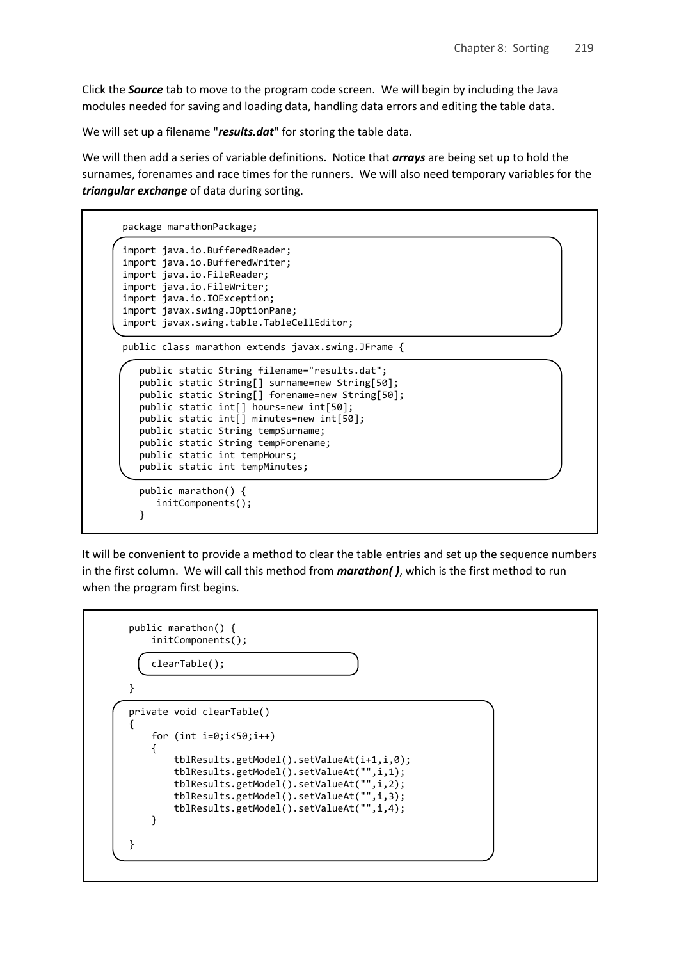Click the *Source* tab to move to the program code screen. We will begin by including the Java modules needed for saving and loading data, handling data errors and editing the table data.

We will set up a filename "*results.dat*" for storing the table data.

We will then add a series of variable definitions. Notice that *arrays* are being set up to hold the surnames, forenames and race times for the runners. We will also need temporary variables for the *triangular exchange* of data during sorting.

```
package marathonPackage;
import java.io.BufferedReader;
import java.io.BufferedWriter;
import java.io.FileReader;
import java.io.FileWriter;
import java.io.IOException;
import javax.swing.JOptionPane;
import javax.swing.table.TableCellEditor;
public class marathon extends javax.swing.JFrame {
    public static String filename="results.dat";
    public static String[] surname=new String[50];
   public static String[] forename=new String[50]; 
   public static int[] hours=new int[50];
   public static int[] minutes=new int[50];
   public static String tempSurname;
   public static String tempForename;
   public static int tempHours;
   public static int tempMinutes;
\overline{\phantom{0}} public marathon() {
       initComponents();
    }
```
It will be convenient to provide a method to clear the table entries and set up the sequence numbers in the first column. We will call this method from *marathon( )*, which is the first method to run when the program first begins.

```
 public marathon() {
          initComponents();
          clearTable();
     }
     private void clearTable()
     {
         for (int i=0; i<50; i++)\begin{array}{ccc} \hline \end{array} tblResults.getModel().setValueAt(i+1,i,0);
              tblResults.getModel().setValueAt("",i,1);
              tblResults.getModel().setValueAt("",i,2);
              tblResults.getModel().setValueAt("",i,3);
              tblResults.getModel().setValueAt("",i,4);
          }
     }
```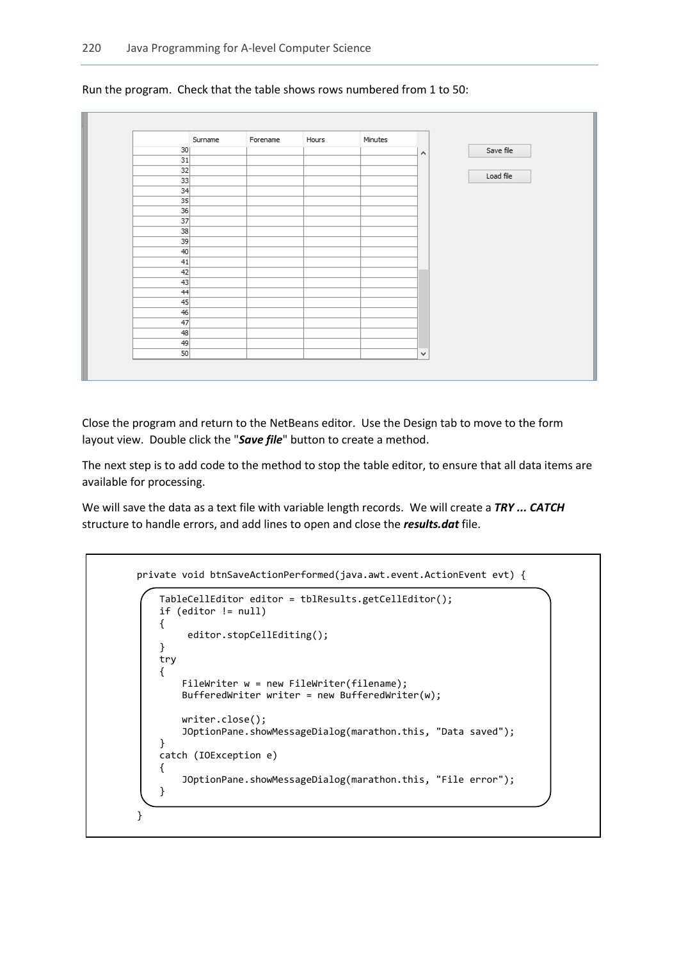

Run the program. Check that the table shows rows numbered from 1 to 50:

Close the program and return to the NetBeans editor. Use the Design tab to move to the form layout view. Double click the "*Save file*" button to create a method.

The next step is to add code to the method to stop the table editor, to ensure that all data items are available for processing.

We will save the data as a text file with variable length records. We will create a *TRY ... CATCH* structure to handle errors, and add lines to open and close the *results.dat* file.

```
 private void btnSaveActionPerformed(java.awt.event.ActionEvent evt) {
```

```
 TableCellEditor editor = tblResults.getCellEditor();
     if (editor != null) 
     {
          editor.stopCellEditing();
     } 
     try 
     {
        FileWriter w = new FileWriter(filename);
        BufferedWriter writer = new BufferedWriter(w);
         writer.close(); 
         JOptionPane.showMessageDialog(marathon.this, "Data saved");
     } 
     catch (IOException e) 
     {
         JOptionPane.showMessageDialog(marathon.this, "File error");
     }
 }
```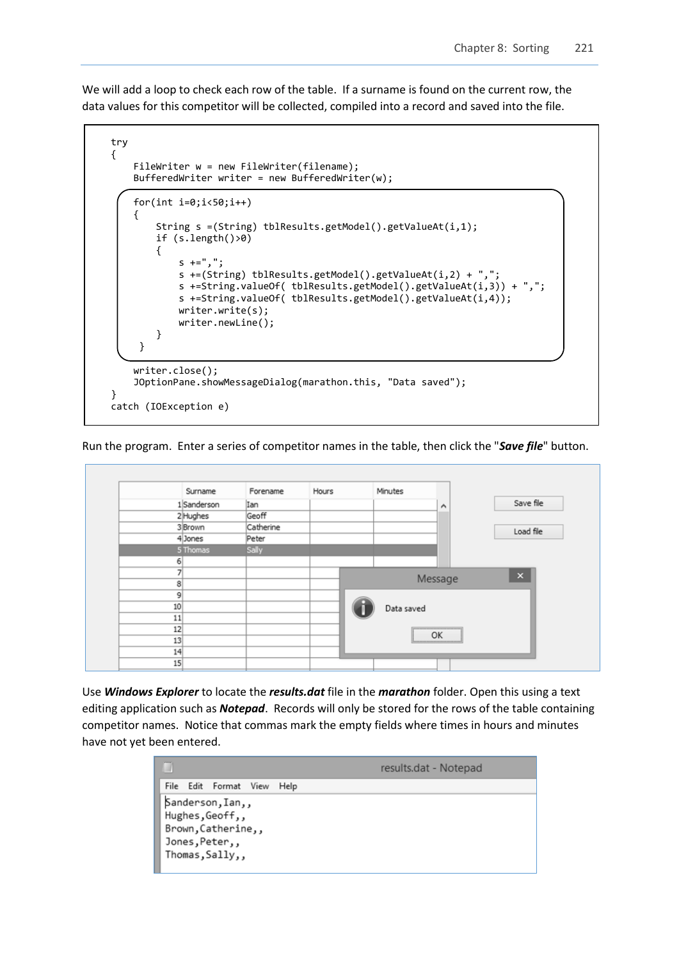We will add a loop to check each row of the table. If a surname is found on the current row, the data values for this competitor will be collected, compiled into a record and saved into the file.



Run the program. Enter a series of competitor names in the table, then click the "*Save file*" button.

|    | Surname     | Forename  | Hours | Minutes    |                                         |                |
|----|-------------|-----------|-------|------------|-----------------------------------------|----------------|
|    | 1 Sanderson | Ian       |       |            | $\hat{\phantom{a}}$                     | Save file      |
|    | 2 Hughes    | Geoff     |       |            |                                         |                |
|    | 3 Brown     | Catherine |       |            |                                         | Load file      |
|    | 4 Jones     | Peter     |       |            |                                         |                |
|    | 5 Thomas    | Sally     |       |            |                                         |                |
| 6  |             |           |       |            |                                         |                |
|    |             |           |       |            |                                         | $\pmb{\times}$ |
| 8  |             |           |       |            | Message                                 |                |
| 9  |             |           |       |            |                                         |                |
| 10 |             |           |       | Data saved |                                         |                |
| 11 |             |           |       |            |                                         |                |
| 12 |             |           |       |            | ,,,,,,,,,,,,,,,,,,,,,,,,,,,,,,,,,<br>OK |                |
| 13 |             |           |       |            |                                         |                |
| 14 |             |           |       |            |                                         |                |

Use *Windows Explorer* to locate the *results.dat* file in the *marathon* folder. Open this using a text editing application such as *Notepad*. Records will only be stored for the rows of the table containing competitor names. Notice that commas mark the empty fields where times in hours and minutes have not yet been entered.

| <b>COUNTY</b><br>₩ |                                                                                                |      | results.dat - Notepad |
|--------------------|------------------------------------------------------------------------------------------------|------|-----------------------|
|                    | File Edit Format View                                                                          | Help |                       |
|                    | Sanderson, Ian,,<br>Hughes, Geoff,,<br>Brown, Catherine,,<br>Jones, Peter,,<br>Thomas, Sally,, |      |                       |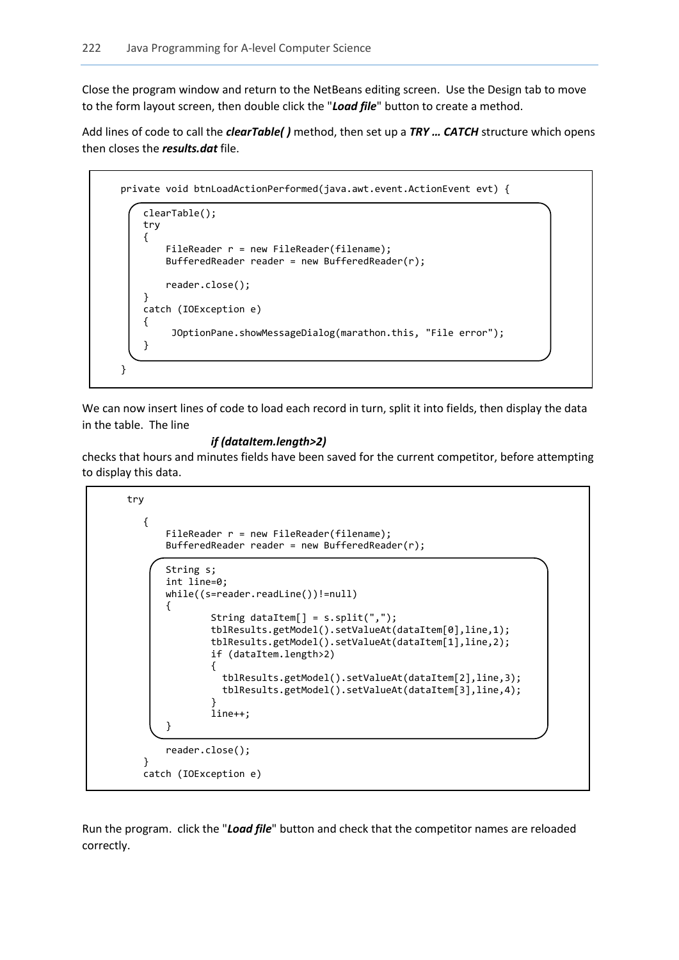Close the program window and return to the NetBeans editing screen. Use the Design tab to move to the form layout screen, then double click the "*Load file*" button to create a method.

Add lines of code to call the *clearTable( )* method, then set up a *TRY … CATCH* structure which opens then closes the *results.dat* file.

```
 private void btnLoadActionPerformed(java.awt.event.ActionEvent evt) { 
     clearTable();
     try 
     {
        FileReader r = new FileReader(filename); BufferedReader reader = new BufferedReader(r); 
         reader.close(); 
     }
     catch (IOException e) 
     {
          JOptionPane.showMessageDialog(marathon.this, "File error");
     } 
 }
```
We can now insert lines of code to load each record in turn, split it into fields, then display the data in the table. The line

### *if (dataItem.length>2)*

checks that hours and minutes fields have been saved for the current competitor, before attempting to display this data.

```
 try 
        {
             FileReader r = new FileReader(filename);
             BufferedReader reader = new BufferedReader(r); 
             String s;
             int line=0; 
             while((s=reader.readLine())!=null) 
\vert {
                     String dataItem[] = s.split(","); 
                    tblResults.getModel().setValueAt(dataItem[0],line,1);
                    tblResults.getModel().setValueAt(dataItem[1],line,2); 
                    if (dataItem.length>2)
                    {
                       tblResults.getModel().setValueAt(dataItem[2],line,3);
                      tblResults.getModel().setValueAt(dataItem[3],line,4); 
1999 1999 1999 1999
                    line++; 
\{\qquad\} reader.close(); 
 }
        catch (IOException e)
```
Run the program. click the "*Load file*" button and check that the competitor names are reloaded correctly.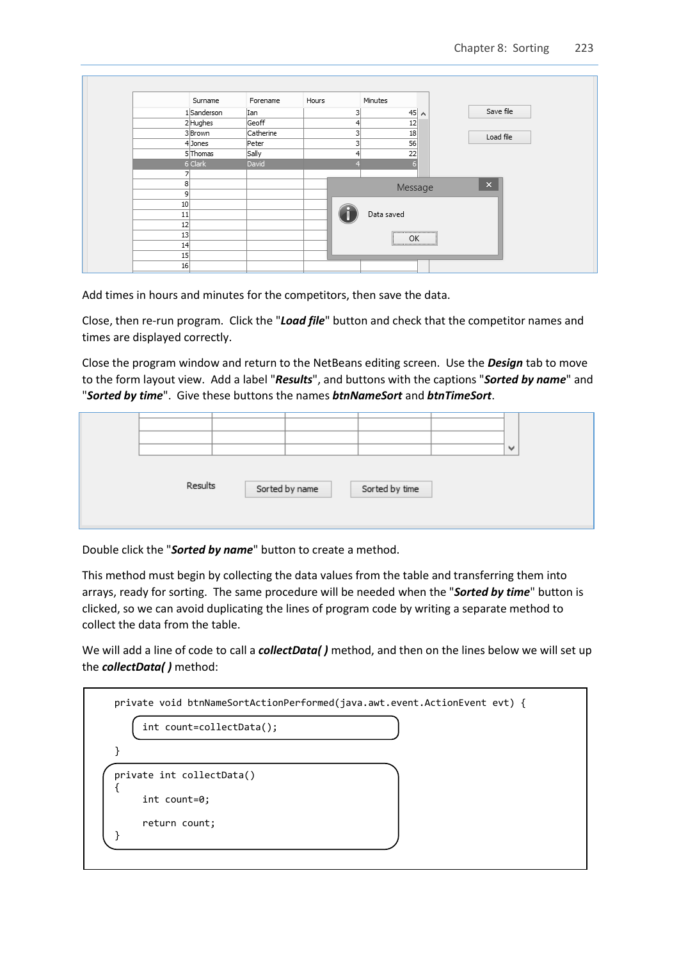|    | Surname    | Forename  | Hours |   | Minutes     |                       |  |
|----|------------|-----------|-------|---|-------------|-----------------------|--|
|    | 1Sanderson | Ian       |       | 3 | $45 \wedge$ | Save file             |  |
|    | 2Hughes    | Geoff     |       | 4 | 12          |                       |  |
|    | 3Brown     | Catherine |       | 3 | 18          | Load file             |  |
|    | 4 Jones    | Peter     |       | 3 | 56          |                       |  |
|    | 5 Thomas   | Sally     |       | 4 | 22          |                       |  |
|    | 6 Clark    | David     |       |   | F           |                       |  |
|    |            |           |       |   |             |                       |  |
| 8  |            |           |       |   | Message     | $\boldsymbol{\times}$ |  |
| 9  |            |           |       |   |             |                       |  |
| 10 |            |           |       |   |             |                       |  |
| 11 |            |           |       |   | Data saved  |                       |  |
| 12 |            |           |       |   |             |                       |  |
| 13 |            |           |       |   | <br>OK      |                       |  |
| 14 |            |           |       |   | :           |                       |  |
| 15 |            |           |       |   |             |                       |  |
|    |            |           |       |   |             |                       |  |

Add times in hours and minutes for the competitors, then save the data.

Close, then re-run program. Click the "*Load file*" button and check that the competitor names and times are displayed correctly.

Close the program window and return to the NetBeans editing screen. Use the *Design* tab to move to the form layout view. Add a label "*Results*", and buttons with the captions "*Sorted by name*" and "*Sorted by time*". Give these buttons the names *btnNameSort* and *btnTimeSort*.

|         |                |                | $\checkmark$ |  |
|---------|----------------|----------------|--------------|--|
| Results | Sorted by name | Sorted by time |              |  |

Double click the "*Sorted by name*" button to create a method.

This method must begin by collecting the data values from the table and transferring them into arrays, ready for sorting. The same procedure will be needed when the "*Sorted by time*" button is clicked, so we can avoid duplicating the lines of program code by writing a separate method to collect the data from the table.

We will add a line of code to call a *collectData( )* method, and then on the lines below we will set up the *collectData( )* method: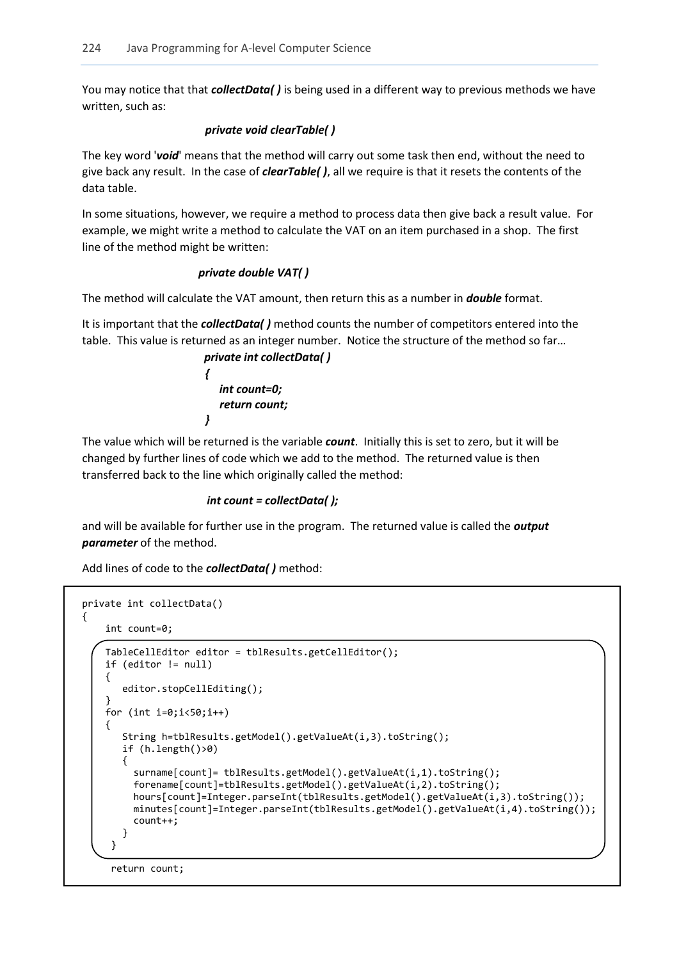You may notice that that *collectData( )* is being used in a different way to previous methods we have written, such as:

## *private void clearTable( )*

The key word '*void*' means that the method will carry out some task then end, without the need to give back any result. In the case of *clearTable( )*, all we require is that it resets the contents of the data table.

In some situations, however, we require a method to process data then give back a result value. For example, we might write a method to calculate the VAT on an item purchased in a shop. The first line of the method might be written:

## *private double VAT( )*

The method will calculate the VAT amount, then return this as a number in *double* format.

It is important that the *collectData( )* method counts the number of competitors entered into the table. This value is returned as an integer number. Notice the structure of the method so far…

 *private int collectData( ) { int count=0; return count; }*

The value which will be returned is the variable *count*. Initially this is set to zero, but it will be changed by further lines of code which we add to the method. The returned value is then transferred back to the line which originally called the method:

### *int count = collectData( );*

and will be available for further use in the program. The returned value is called the *output parameter* of the method.

Add lines of code to the *collectData( )* method:

```
private int collectData()
  { 
        int count=0;
        TableCellEditor editor = tblResults.getCellEditor();
        if (editor != null) 
        {
          editor.stopCellEditing();
 } 
       for (int i=0; i<50; i++) {
           String h=tblResults.getModel().getValueAt(i,3).toString(); 
           if (h.length()>0)
 { 
            surname[count]= tblResults.getModel().getValueAt(i,1).toString();
             forename[count]=tblResults.getModel().getValueAt(i,2).toString();
             hours[count]=Integer.parseInt(tblResults.getModel().getValueAt(i,3).toString()); 
             minutes[count]=Integer.parseInt(tblResults.getModel().getValueAt(i,4).toString()); 
             count++;
           } 
\left\{\begin{array}{c} \end{array}\right\}
```

```
 return count;
```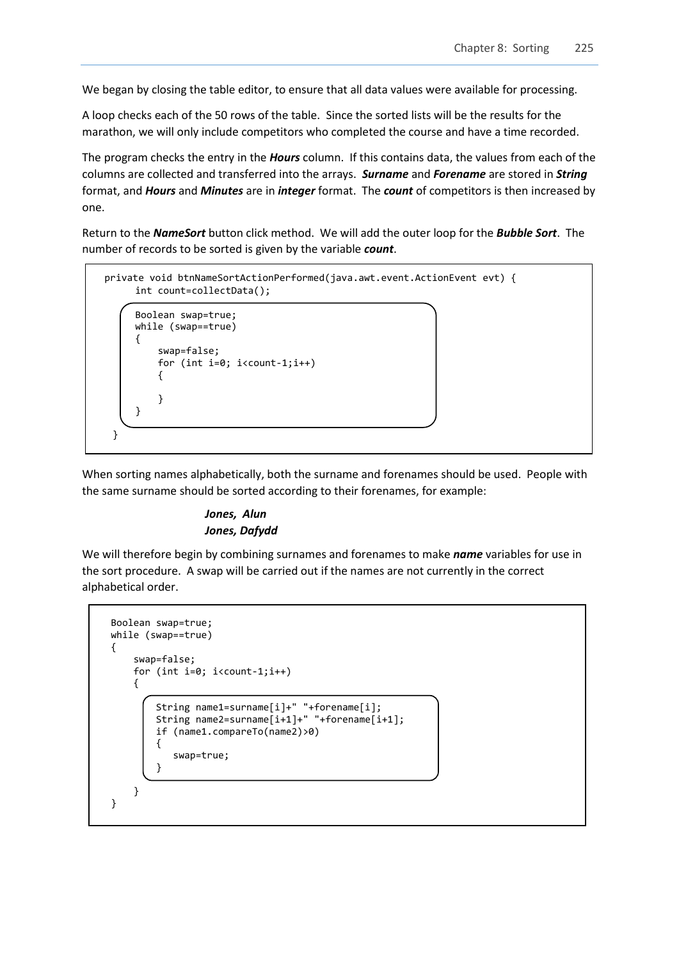We began by closing the table editor, to ensure that all data values were available for processing.

A loop checks each of the 50 rows of the table. Since the sorted lists will be the results for the marathon, we will only include competitors who completed the course and have a time recorded.

The program checks the entry in the *Hours* column. If this contains data, the values from each of the columns are collected and transferred into the arrays. *Surname* and *Forename* are stored in *String*  format, and *Hours* and *Minutes* are in *integer* format. The *count* of competitors is then increased by one.

Return to the *NameSort* button click method. We will add the outer loop for the *Bubble Sort*. The number of records to be sorted is given by the variable *count*.

```
 private void btnNameSortActionPerformed(java.awt.event.ActionEvent evt) { 
          int count=collectData(); 
          Boolean swap=true;
          while (swap==true)
          {
               swap=false;
               for (int i=0; i<count-1;i++)
\left\{\begin{array}{ccc} & & \\ & & \end{array}\right\} } 
          } 
     }
```
When sorting names alphabetically, both the surname and forenames should be used. People with the same surname should be sorted according to their forenames, for example:

## *Jones, Alun Jones, Dafydd*

We will therefore begin by combining surnames and forenames to make *name* variables for use in the sort procedure. A swap will be carried out if the names are not currently in the correct alphabetical order.

```
 Boolean swap=true;
         while (swap==true)
          {
              swap=false;
              for (int i=0; i<count-1;i++)
\left\{\begin{array}{ccc} & & \\ & & \end{array}\right\} String name1=surname[i]+" "+forename[i];
                  String name2=surname[i+1]+" "+forename[i+1];
                   if (name1.compareTo(name2)>0)
 {
                       swap=true;
 } 
\begin{array}{ccc} & & \end{array} }
```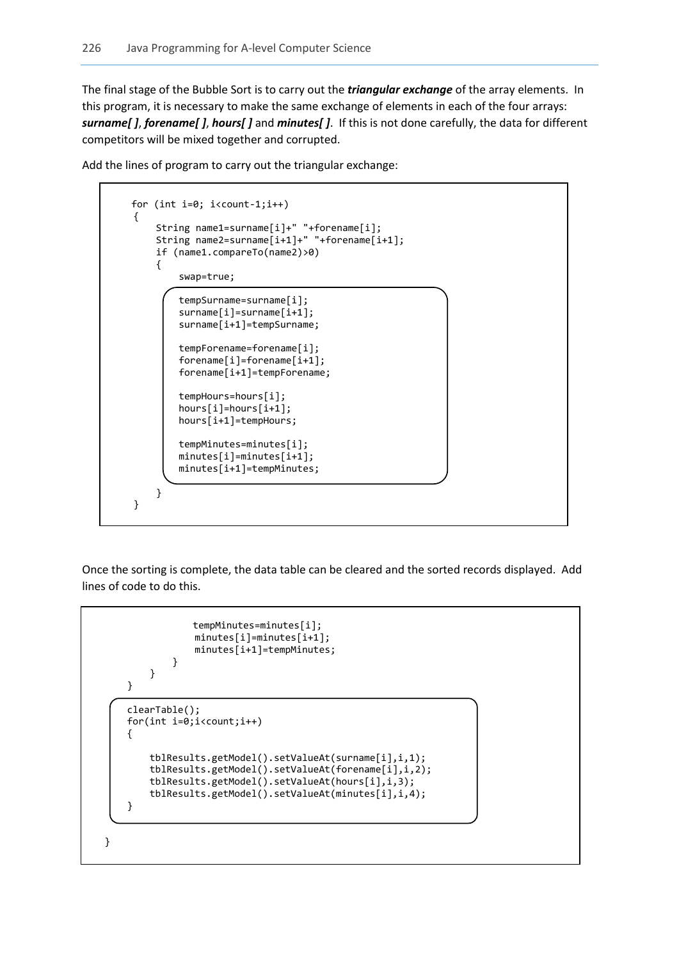The final stage of the Bubble Sort is to carry out the *triangular exchange* of the array elements. In this program, it is necessary to make the same exchange of elements in each of the four arrays: *surname[ ]*, *forename[ ]*, *hours[ ]* and *minutes[ ]*. If this is not done carefully, the data for different competitors will be mixed together and corrupted.

Add the lines of program to carry out the triangular exchange:

```
 for (int i=0; i<count-1;i++)
             { 
 String name1=surname[i]+" "+forename[i];
 String name2=surname[i+1]+" "+forename[i+1]; 
                  if (name1.compareTo(name2)>0)
\begin{array}{ccc} & & & \\ & & & \end{array} swap=true;
                      tempSurname=surname[i];
                     surname[i]=surname[i+1];
                      surname[i+1]=tempSurname;
                      tempForename=forename[i];
                     forename[i]=forename[i+1];
                     forename[i+1]=tempForename;
                      tempHours=hours[i];
                     hours[i]=hours[i+1];
                     hours[i+1]=tempHours;
                      tempMinutes=minutes[i];
                     minutes[i]=minutes[i+1];
                     minutes[i+1]=tempMinutes;
\begin{array}{ccc} & & & \\ & & & \end{array} }
```
Once the sorting is complete, the data table can be cleared and the sorted records displayed. Add lines of code to do this.

```
 tempMinutes=minutes[i];
                     minutes[i]=minutes[i+1];
                    minutes[i+1]=tempMinutes;
 } 
             } 
         } 
         clearTable();
         for(int i=0;i<count;i++)
         { 
             tblResults.getModel().setValueAt(surname[i],i,1);
             tblResults.getModel().setValueAt(forename[i],i,2); 
             tblResults.getModel().setValueAt(hours[i],i,3);
             tblResults.getModel().setValueAt(minutes[i],i,4); 
         } 
    }
```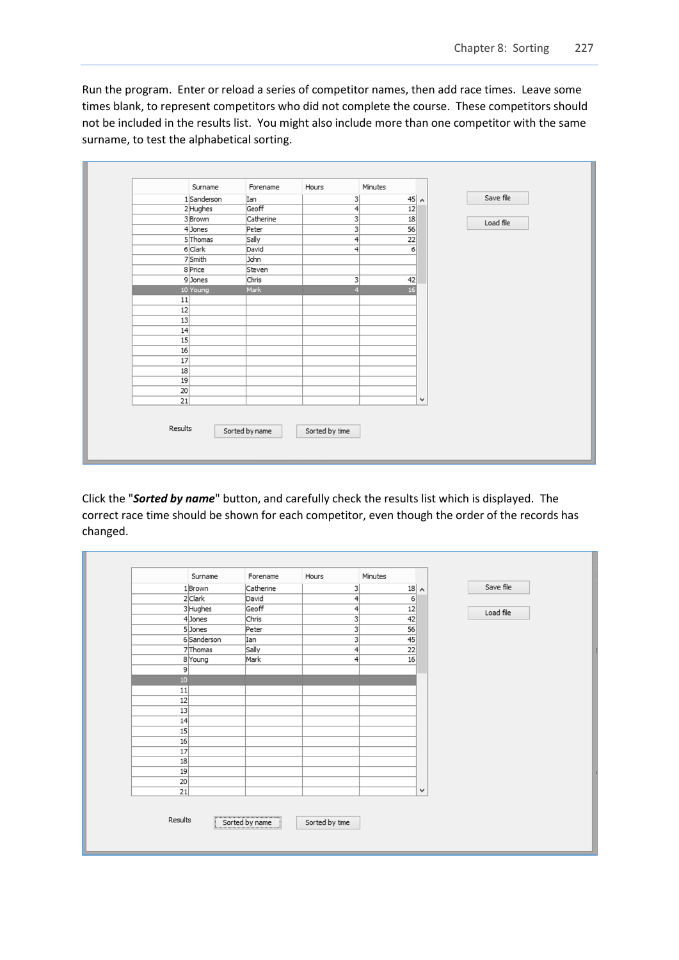Run the program. Enter or reload a series of competitor names, then add race times. Leave some times blank, to represent competitors who did not complete the course. These competitors should not be included in the results list. You might also include more than one competitor with the same surname, to test the alphabetical sorting.

|                 | Surname            | Forename       | Hours                                | Minutes        |              |           |
|-----------------|--------------------|----------------|--------------------------------------|----------------|--------------|-----------|
|                 | 1Sanderson         | Ian            | $\frac{3}{2}$                        | $45 \, \wedge$ |              | Save file |
|                 | 2Hughes            | Geoff          | 4                                    | 12             |              |           |
|                 | 3Brown             | Catherine      |                                      | 18             |              | Load file |
|                 | 4 Jones            | Peter          | $\overline{\overline{\overline{3}}}$ | 56             |              |           |
|                 | 5 Thomas           | Sally          | $\overline{4}$                       | 22             |              |           |
|                 | 6 Clark            | David          | $\frac{4}{3}$                        | 6              |              |           |
|                 | 7 <sup>Smith</sup> | John           |                                      |                |              |           |
|                 | 8 Price            | Steven         |                                      |                |              |           |
|                 | 9Jones             | Chris          | 3                                    | 42             |              |           |
|                 | 10 Young           | Mark           | $\overline{4}$                       | 16             |              |           |
| 11              |                    |                |                                      |                |              |           |
| 12              |                    |                |                                      |                |              |           |
| 13              |                    |                |                                      |                |              |           |
| 14              |                    |                |                                      |                |              |           |
| 15              |                    |                |                                      |                |              |           |
| 16              |                    |                |                                      |                |              |           |
| 17              |                    |                |                                      |                |              |           |
| 18              |                    |                |                                      |                |              |           |
| 19<br>20        |                    |                |                                      |                |              |           |
| $\overline{21}$ |                    |                |                                      |                | $\checkmark$ |           |
|                 |                    |                |                                      |                |              |           |
| Results         |                    | Sorted by name | Sorted by time                       |                |              |           |

Click the "*Sorted by name*" button, and carefully check the results list which is displayed. The correct race time should be shown for each competitor, even though the order of the records has changed.

|                | Surname     | Forename       | Hours                   | Minutes |              |           |
|----------------|-------------|----------------|-------------------------|---------|--------------|-----------|
|                | 1Brown      | Catherine      | 3                       | 18      | $\land$      | Save file |
|                | 2 Clark     | David          | 4                       | 6       |              |           |
|                | 3 Hughes    | Geoff          | $\left 4\right $        | 12      |              | Load file |
|                | 4 Jones     | Chris          | $\overline{3}$          | 42      |              |           |
|                | 5 Jones     | Peter          | $\overline{\mathbf{3}}$ | 56      |              |           |
|                | 6 Sanderson | Ian            | $\overline{\mathbf{3}}$ | 45      |              |           |
|                | 7 Thomas    | Sally          | 4                       | 22      |              |           |
|                | 8 Young     | Mark           | 4                       | 16      |              |           |
| $\overline{9}$ |             |                |                         |         |              |           |
| 10             |             |                |                         |         |              |           |
| 11             |             |                |                         |         |              |           |
| 12             |             |                |                         |         |              |           |
| 13             |             |                |                         |         |              |           |
| 14             |             |                |                         |         |              |           |
| 15             |             |                |                         |         |              |           |
| 16             |             |                |                         |         |              |           |
| 17             |             |                |                         |         |              |           |
| 18             |             |                |                         |         |              |           |
| 19             |             |                |                         |         |              |           |
| 20             |             |                |                         |         |              |           |
| 21             |             |                |                         |         | $\checkmark$ |           |
| Results        |             | Sorted by name | Sorted by time          |         |              |           |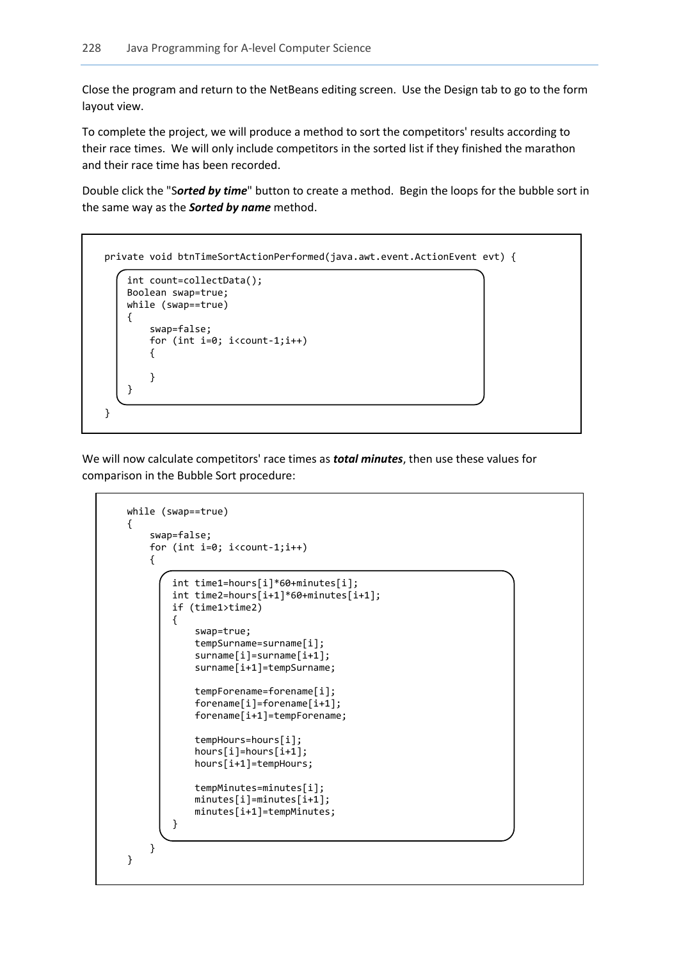Close the program and return to the NetBeans editing screen. Use the Design tab to go to the form layout view.

To complete the project, we will produce a method to sort the competitors' results according to their race times. We will only include competitors in the sorted list if they finished the marathon and their race time has been recorded.

Double click the "S*orted by time*" button to create a method. Begin the loops for the bubble sort in the same way as the *Sorted by name* method.

```
 private void btnTimeSortActionPerformed(java.awt.event.ActionEvent evt) {
```

```
 int count=collectData(); 
                   Boolean swap=true;
                  while (swap==true)
                  \mathcal{L}_{\mathcal{L}_{\mathcal{L}}} swap=false;
                            for (int i=0; i<count-1;i++)
 { 
\begin{array}{|c|c|c|c|c|}\n\hline\n\text{ } & \text{ } & \text{ } & \text{ } \\
\hline\n\text{ } & \text{ } & \text{ } & \text{ } \\
\hline\n\end{array} }
```
L

L

L

}

We will now calculate competitors' race times as *total minutes*, then use these values for comparison in the Bubble Sort procedure:

```
 while (swap==true)
         {
             swap=false;
            for (int i=0; i<count-1;i++)
\left\{\begin{array}{ccc} \end{array}\right\} int time1=hours[i]*60+minutes[i];
                 int time2=hours[i+1]*60+minutes[i+1]; 
                 if (time1>time2)
 {
                     swap=true;
                    tempSurname=surname[i];
                    surname[i]=surname[i+1];
                    surname[i+1]=tempSurname;
                     tempForename=forename[i];
                    forename[i]=forename[i+1];
                    forename[i+1]=tempForename;
                     tempHours=hours[i];
                    hours[i]=hours[i+1];
                    hours[i+1]=tempHours;
                     tempMinutes=minutes[i];
                    minutes[i]=minutes[i+1];
                    minutes[i+1]=tempMinutes;
 }
             } 
         }
```